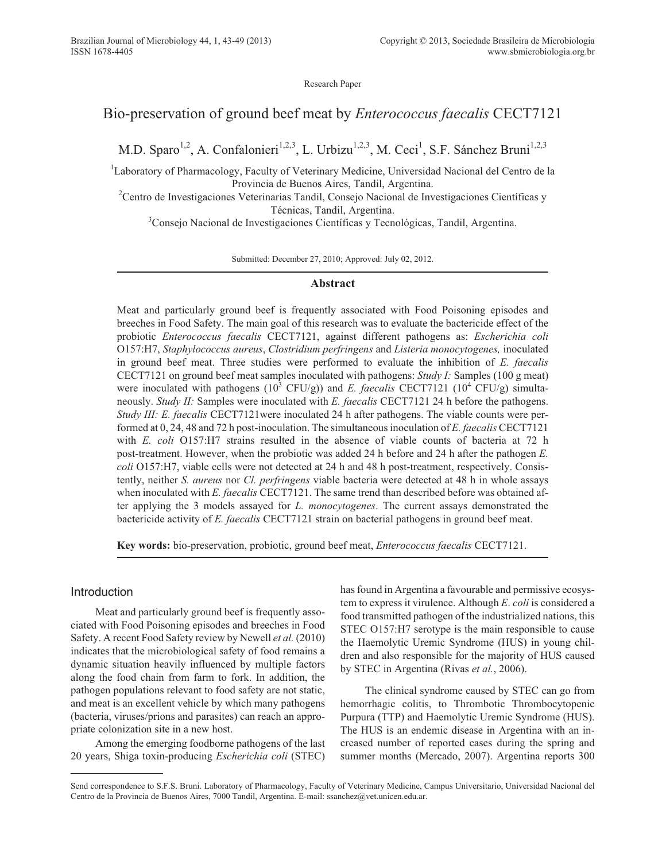Research Paper

# Bio-preservation of ground beef meat by *Enterococcus faecalis* CECT7121

M.D. Sparo<sup>1,2</sup>, A. Confalonieri<sup>1,2,3</sup>, L. Urbizu<sup>1,2,3</sup>, M. Ceci<sup>1</sup>, S.F. Sánchez Bruni<sup>1,2,3</sup>

<sup>1</sup>Laboratory of Pharmacology, Faculty of Veterinary Medicine, Universidad Nacional del Centro de la Provincia de Buenos Aires, Tandil, Argentina.

<sup>2</sup>Centro de Investigaciones Veterinarias Tandil, Consejo Nacional de Investigaciones Científicas y Técnicas, Tandil, Argentina.

<sup>3</sup>Consejo Nacional de Investigaciones Científicas y Tecnológicas, Tandil, Argentina.

Submitted: December 27, 2010; Approved: July 02, 2012.

#### **Abstract**

Meat and particularly ground beef is frequently associated with Food Poisoning episodes and breeches in Food Safety. The main goal of this research was to evaluate the bactericide effect of the probiotic *Enterococcus faecalis* CECT7121, against different pathogens as: *Escherichia coli* O157:H7, *Staphylococcus aureus*, *Clostridium perfringens* and *Listeria monocytogenes,* inoculated in ground beef meat. Three studies were performed to evaluate the inhibition of *E. faecalis* CECT7121 on ground beef meat samples inoculated with pathogens: *Study I:* Samples (100 g meat) were inoculated with pathogens  $(10^3 \text{ CFU/g})$  and *E. faecalis* CECT7121  $(10^4 \text{ CFU/g})$  simultaneously. *Study II:* Samples were inoculated with *E. faecalis* CECT7121 24 h before the pathogens. *Study III: E. faecalis* CECT7121were inoculated 24 h after pathogens. The viable counts were performed at 0, 24, 48 and 72 h post-inoculation. The simultaneous inoculation of *E. faecalis* CECT7121 with *E. coli* O157:H7 strains resulted in the absence of viable counts of bacteria at 72 h post-treatment. However, when the probiotic was added 24 h before and 24 h after the pathogen *E. coli* O157:H7, viable cells were not detected at 24 h and 48 h post-treatment, respectively. Consistently, neither *S. aureus* nor *Cl. perfringens* viable bacteria were detected at 48 h in whole assays when inoculated with *E. faecalis* CECT7121. The same trend than described before was obtained after applying the 3 models assayed for *L. monocytogenes*. The current assays demonstrated the bactericide activity of *E. faecalis* CECT7121 strain on bacterial pathogens in ground beef meat.

**Key words:** bio-preservation, probiotic, ground beef meat, *Enterococcus faecalis* CECT7121.

# Introduction

Meat and particularly ground beef is frequently associated with Food Poisoning episodes and breeches in Food Safety. A recent Food Safety review by Newell *et al.* (2010) indicates that the microbiological safety of food remains a dynamic situation heavily influenced by multiple factors along the food chain from farm to fork. In addition, the pathogen populations relevant to food safety are not static, and meat is an excellent vehicle by which many pathogens (bacteria, viruses/prions and parasites) can reach an appropriate colonization site in a new host.

Among the emerging foodborne pathogens of the last 20 years, Shiga toxin-producing *Escherichia coli* (STEC) has found in Argentina a favourable and permissive ecosystem to express it virulence. Although *E*. *coli* is considered a food transmitted pathogen of the industrialized nations, this STEC O157:H7 serotype is the main responsible to cause the Haemolytic Uremic Syndrome (HUS) in young children and also responsible for the majority of HUS caused by STEC in Argentina (Rivas *et al.*, 2006).

The clinical syndrome caused by STEC can go from hemorrhagic colitis, to Thrombotic Thrombocytopenic Purpura (TTP) and Haemolytic Uremic Syndrome (HUS). The HUS is an endemic disease in Argentina with an increased number of reported cases during the spring and summer months (Mercado, 2007). Argentina reports 300

Send correspondence to S.F.S. Bruni. Laboratory of Pharmacology, Faculty of Veterinary Medicine, Campus Universitario, Universidad Nacional del Centro de la Provincia de Buenos Aires, 7000 Tandil, Argentina. E-mail: ssanchez@vet.unicen.edu.ar.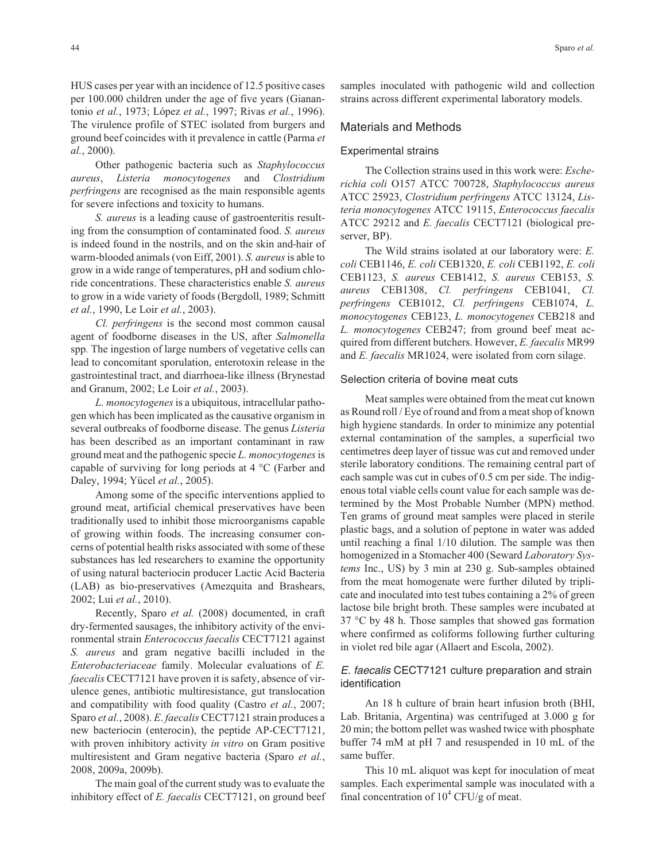HUS cases per year with an incidence of 12.5 positive cases per 100.000 children under the age of five years (Gianantonio *et al.*, 1973; López *et al.*, 1997; Rivas *et al.*, 1996). The virulence profile of STEC isolated from burgers and ground beef coincides with it prevalence in cattle (Parma *et al.*, 2000).

Other pathogenic bacteria such as *Staphylococcus aureus*, *Listeria monocytogenes* and *Clostridium perfringens* are recognised as the main responsible agents for severe infections and toxicity to humans.

*S. aureus* is a leading cause of gastroenteritis resulting from the consumption of contaminated food. *S. aureus* is indeed found in the nostrils, and on the skin and hair of warm-blooded animals (von Eiff, 2001). *S. aureus*is able to grow in a wide range of temperatures, pH and sodium chloride concentrations. These characteristics enable *S. aureus* to grow in a wide variety of foods (Bergdoll, 1989; Schmitt *et al.*, 1990, Le Loir *et al.*, 2003).

*Cl. perfringens* is the second most common causal agent of foodborne diseases in the US, after *Salmonella* spp*.* The ingestion of large numbers of vegetative cells can lead to concomitant sporulation, enterotoxin release in the gastrointestinal tract, and diarrhoea-like illness (Brynestad and Granum, 2002; Le Loir *et al.*, 2003).

*L. monocytogenes* is a ubiquitous, intracellular pathogen which has been implicated as the causative organism in several outbreaks of foodborne disease. The genus *Listeria* has been described as an important contaminant in raw ground meat and the pathogenic specie *L. monocytogenes*is capable of surviving for long periods at 4 °C (Farber and Daley, 1994; Yücel *et al.*, 2005).

Among some of the specific interventions applied to ground meat, artificial chemical preservatives have been traditionally used to inhibit those microorganisms capable of growing within foods. The increasing consumer concerns of potential health risks associated with some of these substances has led researchers to examine the opportunity of using natural bacteriocin producer Lactic Acid Bacteria (LAB) as bio-preservatives (Amezquita and Brashears, 2002; Lui *et al.*, 2010).

Recently, Sparo *et al.* (2008) documented, in craft dry-fermented sausages, the inhibitory activity of the environmental strain *Enterococcus faecalis* CECT7121 against *S. aureus* and gram negative bacilli included in the *Enterobacteriaceae* family. Molecular evaluations of *E. faecalis* CECT7121 have proven it is safety, absence of virulence genes, antibiotic multiresistance, gut translocation and compatibility with food quality (Castro *et al.*, 2007; Sparo *et al.*, 2008). *E*. *faecalis* CECT7121 strain produces a new bacteriocin (enterocin), the peptide AP-CECT7121, with proven inhibitory activity *in vitro* on Gram positive multiresistent and Gram negative bacteria (Sparo *et al.*, 2008, 2009a, 2009b).

The main goal of the current study was to evaluate the inhibitory effect of *E. faecalis* CECT7121, on ground beef samples inoculated with pathogenic wild and collection strains across different experimental laboratory models.

# Materials and Methods

#### Experimental strains

The Collection strains used in this work were: *Escherichia coli* O157 ATCC 700728, *Staphylococcus aureus* ATCC 25923, *Clostridium perfringens* ATCC 13124, *Listeria monocytogenes* ATCC 19115, *Enterococcus faecalis* ATCC 29212 and *E. faecalis* CECT7121 (biological preserver, BP).

The Wild strains isolated at our laboratory were: *E. coli* CEB1146, *E. coli* CEB1320, *E. coli* CEB1192, *E. coli* CEB1123, *S. aureus* CEB1412, *S. aureus* CEB153, *S. aureus* CEB1308, *Cl. perfringens* CEB1041, *Cl. perfringens* CEB1012, *Cl. perfringens* CEB1074, *L. monocytogenes* CEB123, *L. monocytogenes* CEB218 and *L. monocytogenes* CEB247; from ground beef meat acquired from different butchers. However, *E. faecalis* MR99 and *E. faecalis* MR1024, were isolated from corn silage.

#### Selection criteria of bovine meat cuts

Meat samples were obtained from the meat cut known as Round roll / Eye of round and from a meat shop of known high hygiene standards. In order to minimize any potential external contamination of the samples, a superficial two centimetres deep layer of tissue was cut and removed under sterile laboratory conditions. The remaining central part of each sample was cut in cubes of 0.5 cm per side. The indigenous total viable cells count value for each sample was determined by the Most Probable Number (MPN) method. Ten grams of ground meat samples were placed in sterile plastic bags, and a solution of peptone in water was added until reaching a final 1/10 dilution. The sample was then homogenized in a Stomacher 400 (Seward *Laboratory Systems* Inc., US) by 3 min at 230 g. Sub-samples obtained from the meat homogenate were further diluted by triplicate and inoculated into test tubes containing a 2% of green lactose bile bright broth. These samples were incubated at 37 °C by 48 h. Those samples that showed gas formation where confirmed as coliforms following further culturing in violet red bile agar (Allaert and Escola, 2002).

## E. faecalis CECT7121 culture preparation and strain identification

An 18 h culture of brain heart infusion broth (BHI, Lab. Britania, Argentina) was centrifuged at 3.000 g for 20 min; the bottom pellet was washed twice with phosphate buffer 74 mM at pH 7 and resuspended in 10 mL of the same buffer.

This 10 mL aliquot was kept for inoculation of meat samples. Each experimental sample was inoculated with a final concentration of  $10^4$  CFU/g of meat.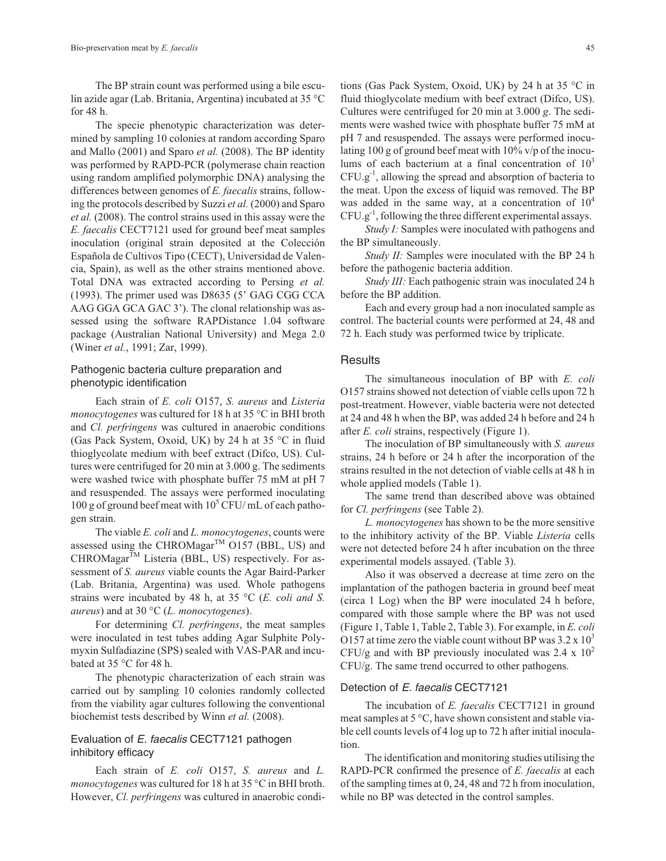The BP strain count was performed using a bile esculin azide agar (Lab. Britania, Argentina) incubated at 35 °C for 48 h.

The specie phenotypic characterization was determined by sampling 10 colonies at random according Sparo and Mallo (2001) and Sparo *et al.* (2008). The BP identity was performed by RAPD-PCR (polymerase chain reaction using random amplified polymorphic DNA) analysing the differences between genomes of *E. faecalis* strains, following the protocols described by Suzzi *et al.* (2000) and Sparo *et al.* (2008). The control strains used in this assay were the *E. faecalis* CECT7121 used for ground beef meat samples inoculation (original strain deposited at the Colección Española de Cultivos Tipo (CECT), Universidad de Valencia, Spain), as well as the other strains mentioned above. Total DNA was extracted according to Persing *et al.* (1993). The primer used was D8635 (5' GAG CGG CCA AAG GGA GCA GAC 3'). The clonal relationship was assessed using the software RAPDistance 1.04 software package (Australian National University) and Mega 2.0 (Winer *et al.*, 1991; Zar, 1999).

## Pathogenic bacteria culture preparation and phenotypic identification

Each strain of *E. coli* O157, *S. aureus* and *Listeria monocytogenes* was cultured for 18 h at 35 °C in BHI broth and *Cl. perfringens* was cultured in anaerobic conditions (Gas Pack System, Oxoid, UK) by 24 h at 35 °C in fluid thioglycolate medium with beef extract (Difco, US). Cultures were centrifuged for 20 min at 3.000 g. The sediments were washed twice with phosphate buffer 75 mM at pH 7 and resuspended. The assays were performed inoculating 100 g of ground beef meat with  $10^5$  CFU/ mL of each pathogen strain.

The viable *E. coli* and *L. monocytogenes*, counts were assessed using the CHROMagar<sup>TM</sup>  $O157$  (BBL, US) and  $CHROMagar^{\text{TM}}$  Listeria (BBL, US) respectively. For assessment of *S. aureus* viable counts the Agar Baird-Parker (Lab. Britania, Argentina) was used. Whole pathogens strains were incubated by 48 h, at 35 °C (*E. coli and S. aureus*) and at 30 °C (*L. monocytogenes*).

For determining *Cl. perfringens*, the meat samples were inoculated in test tubes adding Agar Sulphite Polymyxin Sulfadiazine (SPS) sealed with VAS-PAR and incubated at 35 °C for 48 h.

The phenotypic characterization of each strain was carried out by sampling 10 colonies randomly collected from the viability agar cultures following the conventional biochemist tests described by Winn *et al.* (2008).

# Evaluation of E. faecalis CECT7121 pathogen inhibitory efficacy

Each strain of *E. coli* O157, *S. aureus* and *L. monocytogenes* was cultured for 18 h at 35 °C in BHI broth. However, *Cl. perfringens* was cultured in anaerobic conditions (Gas Pack System, Oxoid, UK) by 24 h at 35 °C in fluid thioglycolate medium with beef extract (Difco, US). Cultures were centrifuged for 20 min at 3.000 *g*. The sediments were washed twice with phosphate buffer 75 mM at pH 7 and resuspended. The assays were performed inoculating 100 g of ground beef meat with  $10\%$  v/p of the inoculums of each bacterium at a final concentration of  $10<sup>3</sup>$ CFU.g-1, allowing the spread and absorption of bacteria to the meat. Upon the excess of liquid was removed. The BP was added in the same way, at a concentration of  $10<sup>4</sup>$  $CFU.g^{-1}$ , following the three different experimental assays.

*Study I:* Samples were inoculated with pathogens and the BP simultaneously.

*Study II:* Samples were inoculated with the BP 24 h before the pathogenic bacteria addition.

*Study III:* Each pathogenic strain was inoculated 24 h before the BP addition.

Each and every group had a non inoculated sample as control. The bacterial counts were performed at 24, 48 and 72 h. Each study was performed twice by triplicate.

#### **Results**

The simultaneous inoculation of BP with *E. coli* O157 strains showed not detection of viable cells upon 72 h post-treatment. However, viable bacteria were not detected at 24 and 48 h when the BP, was added 24 h before and 24 h after *E. coli* strains, respectively (Figure 1).

The inoculation of BP simultaneously with *S. aureus* strains, 24 h before or 24 h after the incorporation of the strains resulted in the not detection of viable cells at 48 h in whole applied models (Table 1).

The same trend than described above was obtained for *Cl. perfringens* (see Table 2).

*L. monocytogenes* has shown to be the more sensitive to the inhibitory activity of the BP. Viable *Listeria* cells were not detected before 24 h after incubation on the three experimental models assayed. (Table 3).

Also it was observed a decrease at time zero on the implantation of the pathogen bacteria in ground beef meat (circa 1 Log) when the BP were inoculated 24 h before, compared with those sample where the BP was not used (Figure 1, Table 1, Table 2, Table 3). For example, in *E. coli* O157 at time zero the viable count without BP was  $3.2 \times 10^3$ CFU/g and with BP previously inoculated was 2.4 x  $10^2$ CFU/g. The same trend occurred to other pathogens.

#### Detection of E. faecalis CECT7121

The incubation of *E. faecalis* CECT7121 in ground meat samples at 5 °C, have shown consistent and stable viable cell counts levels of 4 log up to 72 h after initial inoculation.

The identification and monitoring studies utilising the RAPD-PCR confirmed the presence of *E. faecalis* at each of the sampling times at 0, 24, 48 and 72 h from inoculation, while no BP was detected in the control samples.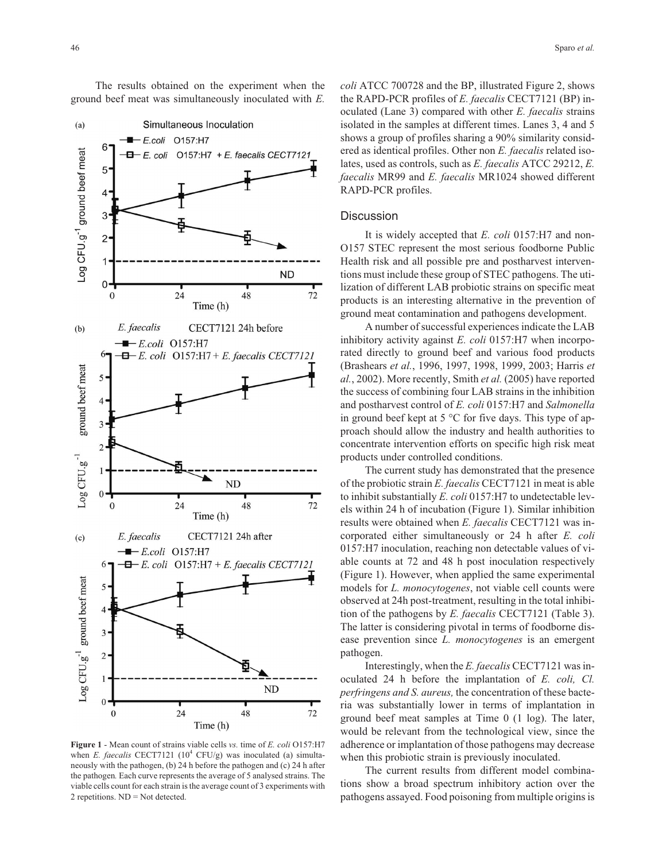Simultaneous Inoculation  $(a)$ - E.coli O157:H7 6 -og CFU.g<sup>-1</sup> ground beef meat E. coli O157:H7 + E. faecalis CECT7121 5  $\overline{4}$ 3  $\overline{c}$ 1 **ND**  $0 \mathbf{0}$ 24 48 72 Time (h) CECT7121 24h before E. faecalis  $(b)$  $-\blacksquare$  E.coli O157:H7 6.  $\Box$  E. coli O157:H7 + E. faecalis CECT7121 ground beef meat 5  $\overline{4}$  $\mathfrak{Z}$  $\overline{2}$  $Log$  CFU.g<sup>-1</sup> 1 N<sub>D</sub>  $\theta$ 72  $\boldsymbol{0}$ 24 48 Time (h) E. faecalis CECT7121 24h after  $(c)$  $-E. coli$  O157:H7 6 – E. coli  $O157:H7 + E.$  faecalis CECT7121 Log CFU.g<sup>-1</sup> ground beef meat 5  $\overline{4}$ 3  $\sqrt{2}$  $\mathbf{1}$  $ND$  $\overline{0}$  $24$  $\boldsymbol{0}$ 48  $72\,$ Time (h)

**Figure 1** - Mean count of strains viable cells *vs.* time of *E. coli* O157:H7 when *E. faecalis* CECT7121 (10<sup>4</sup> CFU/g) was inoculated (a) simultaneously with the pathogen, (b) 24 h before the pathogen and (c) 24 h after the pathogen*.* Each curve represents the average of 5 analysed strains. The viable cells count for each strain is the average count of 3 experiments with 2 repetitions. ND = Not detected.

*coli* ATCC 700728 and the BP, illustrated Figure 2, shows the RAPD-PCR profiles of *E. faecalis* CECT7121 (BP) inoculated (Lane 3) compared with other *E. faecalis* strains isolated in the samples at different times. Lanes 3, 4 and 5 shows a group of profiles sharing a 90% similarity considered as identical profiles. Other non *E. faecalis* related isolates, used as controls, such as *E. faecalis* ATCC 29212, *E. faecalis* MR99 and *E. faecalis* MR1024 showed different RAPD-PCR profiles.

#### **Discussion**

It is widely accepted that *E. coli* 0157:H7 and non-O157 STEC represent the most serious foodborne Public Health risk and all possible pre and postharvest interventions must include these group of STEC pathogens. The utilization of different LAB probiotic strains on specific meat products is an interesting alternative in the prevention of ground meat contamination and pathogens development.

A number of successful experiences indicate the LAB inhibitory activity against *E. coli* 0157:H7 when incorporated directly to ground beef and various food products (Brashears *et al.*, 1996, 1997, 1998, 1999, 2003; Harris *et al.*, 2002). More recently, Smith *et al.* (2005) have reported the success of combining four LAB strains in the inhibition and postharvest control of *E. coli* 0157:H7 and *Salmonella* in ground beef kept at 5 °C for five days. This type of approach should allow the industry and health authorities to concentrate intervention efforts on specific high risk meat products under controlled conditions.

The current study has demonstrated that the presence of the probiotic strain *E. faecalis* CECT7121 in meat is able to inhibit substantially *E. coli* 0157:H7 to undetectable levels within 24 h of incubation (Figure 1). Similar inhibition results were obtained when *E. faecalis* CECT7121 was incorporated either simultaneously or 24 h after *E. coli* 0157:H7 inoculation, reaching non detectable values of viable counts at 72 and 48 h post inoculation respectively (Figure 1). However, when applied the same experimental models for *L. monocytogenes*, not viable cell counts were observed at 24h post-treatment, resulting in the total inhibition of the pathogens by *E. faecalis* CECT7121 (Table 3). The latter is considering pivotal in terms of foodborne disease prevention since *L. monocytogenes* is an emergent pathogen.

Interestingly, when the *E. faecalis* CECT7121 was inoculated 24 h before the implantation of *E. coli, Cl. perfringens and S. aureus,* the concentration of these bacteria was substantially lower in terms of implantation in ground beef meat samples at Time 0 (1 log). The later, would be relevant from the technological view, since the adherence or implantation of those pathogens may decrease when this probiotic strain is previously inoculated.

The current results from different model combinations show a broad spectrum inhibitory action over the pathogens assayed. Food poisoning from multiple origins is

The results obtained on the experiment when the ground beef meat was simultaneously inoculated with *E.*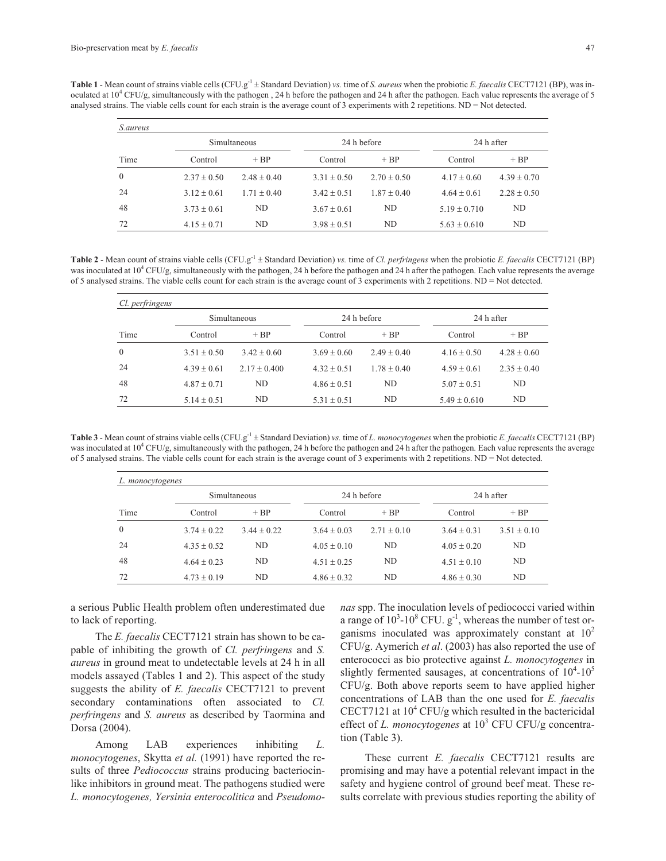Table 1 - Mean count of strains viable cells (CFU.g<sup>-1</sup> ± Standard Deviation) *vs.* time of *S. aureus* when the probiotic *E. faecalis* CECT7121 (BP), was inoculated at 104 CFU/g, simultaneously with the pathogen , 24 h before the pathogen and 24 h after the pathogen*.* Each value represents the average of 5 analysed strains. The viable cells count for each strain is the average count of 3 experiments with 2 repetitions. ND = Not detected.

| <i>S.aureus</i> |                     |                 |                 |                 |                  |                 |  |
|-----------------|---------------------|-----------------|-----------------|-----------------|------------------|-----------------|--|
|                 | <b>Simultaneous</b> |                 | 24 h before     |                 | 24 h after       |                 |  |
| Time            | Control             | $+ BP$          | Control         | $+ BP$          | Control          | $+ BP$          |  |
| $\theta$        | $2.37 \pm 0.50$     | $2.48 \pm 0.40$ | $3.31 \pm 0.50$ | $2.70 \pm 0.50$ | $4.17 \pm 0.60$  | $4.39 \pm 0.70$ |  |
| 24              | $3.12 \pm 0.61$     | $1.71 \pm 0.40$ | $3.42 \pm 0.51$ | $1.87 + 0.40$   | $4.64 \pm 0.61$  | $2.28 \pm 0.50$ |  |
| 48              | $3.73 + 0.61$       | ND.             | $3.67 \pm 0.61$ | ND.             | $5.19 \pm 0.710$ | ND              |  |
| 72              | $4.15 \pm 0.71$     | ND.             | $3.98 \pm 0.51$ | ND.             | $5.63 \pm 0.610$ | ND              |  |

Table 2 - Mean count of strains viable cells (CFU.g<sup>-1</sup> ± Standard Deviation) *vs.* time of *Cl. perfringens* when the probiotic *E. faecalis* CECT7121 (BP) was inoculated at 10<sup>4</sup> CFU/g, simultaneously with the pathogen, 24 h before the pathogen and 24 h after the pathogen. Each value represents the average of 5 analysed strains. The viable cells count for each strain is the average count of 3 experiments with 2 repetitions. ND = Not detected.

| <i>Cl. perfringens</i> |                     |                  |                 |                 |                  |                 |
|------------------------|---------------------|------------------|-----------------|-----------------|------------------|-----------------|
|                        | <b>Simultaneous</b> |                  | 24 h before     |                 | 24 h after       |                 |
| Time                   | Control             | $+ BP$           | Control         | $+ BP$          | Control          | $+ BP$          |
| 0                      | $3.51 \pm 0.50$     | $3.42 \pm 0.60$  | $3.69 + 0.60$   | $2.49 \pm 0.40$ | $4.16 \pm 0.50$  | $4.28 \pm 0.60$ |
| 24                     | $4.39 \pm 0.61$     | $2.17 \pm 0.400$ | $4.32 \pm 0.51$ | $1.78 \pm 0.40$ | $4.59 \pm 0.61$  | $2.35 \pm 0.40$ |
| 48                     | $4.87 \pm 0.71$     | ND.              | $4.86 \pm 0.51$ | ND.             | $5.07 \pm 0.51$  | ND              |
| 72                     | $5.14 \pm 0.51$     | ND               | $5.31 \pm 0.51$ | ND              | $5.49 \pm 0.610$ | ND              |

Table 3 - Mean count of strains viable cells (CFU.g<sup>-1</sup> ± Standard Deviation) *vs.* time of *L. monocytogenes* when the probiotic *E. faecalis* CECT7121 (BP) was inoculated at 10<sup>4</sup> CFU/g, simultaneously with the pathogen, 24 h before the pathogen and 24 h after the pathogen*.* Each value represents the average of 5 analysed strains. The viable cells count for each strain is the average count of 3 experiments with 2 repetitions. ND = Not detected.

| L. monocytogenes |                     |                |                 |                 |                 |                 |  |
|------------------|---------------------|----------------|-----------------|-----------------|-----------------|-----------------|--|
|                  | <b>Simultaneous</b> |                | 24 h before     |                 | 24 h after      |                 |  |
| Time             | Control             | $+ BP$         | Control         | $+ BP$          | Control         | $+ BP$          |  |
| $\Omega$         | $3.74 + 0.22$       | $3.44 + 0.22$  | $3.64 + 0.03$   | $2.71 \pm 0.10$ | $3.64 \pm 0.31$ | $3.51 \pm 0.10$ |  |
| 24               | $4.35 + 0.52$       | ND.            | $4.05 \pm 0.10$ | ND              | $4.05 \pm 0.20$ | ND              |  |
| 48               | $4.64 \pm 0.23$     | N <sub>D</sub> | $4.51 \pm 0.25$ | ND              | $4.51 \pm 0.10$ | ND              |  |
| 72               | $4.73 \pm 0.19$     | N <sub>D</sub> | $4.86 \pm 0.32$ | ND              | $4.86 \pm 0.30$ | ND              |  |

a serious Public Health problem often underestimated due to lack of reporting.

The *E. faecalis* CECT7121 strain has shown to be capable of inhibiting the growth of *Cl. perfringens* and *S. aureus* in ground meat to undetectable levels at 24 h in all models assayed (Tables 1 and 2). This aspect of the study suggests the ability of *E. faecalis* CECT7121 to prevent secondary contaminations often associated to *Cl. perfringens* and *S. aureus* as described by Taormina and Dorsa (2004).

Among LAB experiences inhibiting *L. monocytogenes*, Skytta *et al.* (1991) have reported the results of three *Pediococcus* strains producing bacteriocinlike inhibitors in ground meat. The pathogens studied were *L. monocytogenes, Yersinia enterocolitica* and *Pseudomo-* *nas* spp. The inoculation levels of pediococci varied within a range of  $10^3$ - $10^8$  CFU.  $g^{-1}$ , whereas the number of test organisms inoculated was approximately constant at  $10<sup>2</sup>$ CFU/g. Aymerich *et al*. (2003) has also reported the use of enterococci as bio protective against *L. monocytogenes* in slightly fermented sausages, at concentrations of  $10^4$ - $10^5$ CFU/g. Both above reports seem to have applied higher concentrations of LAB than the one used for *E. faecalis* CECT7121 at  $10^4$  CFU/g which resulted in the bactericidal effect of *L. monocytogenes* at 10<sup>3</sup> CFU CFU/g concentration (Table 3).

These current *E. faecalis* CECT7121 results are promising and may have a potential relevant impact in the safety and hygiene control of ground beef meat. These results correlate with previous studies reporting the ability of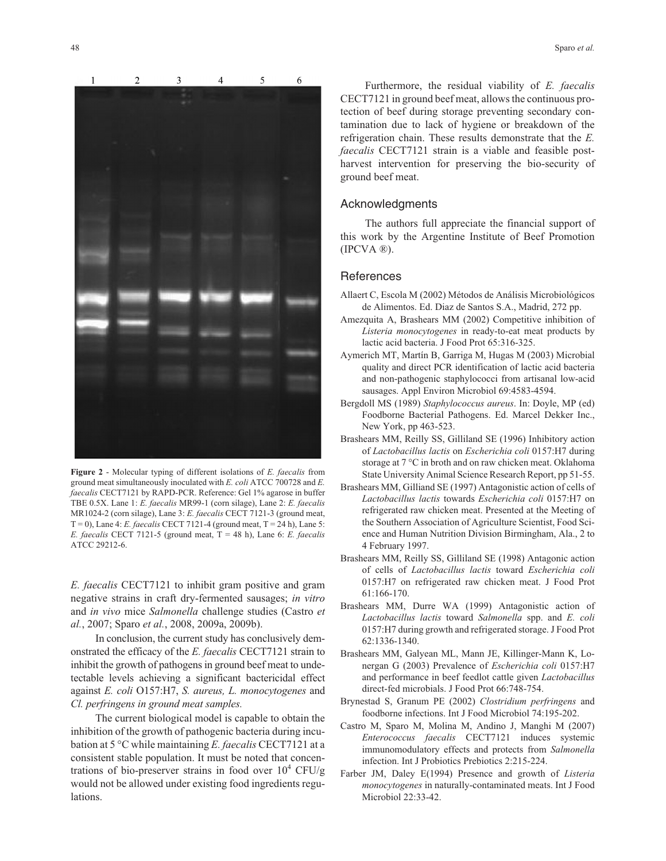

**Figure 2** - Molecular typing of different isolations of *E. faecalis* from ground meat simultaneously inoculated with *E. coli* ATCC 700728 and *E. faecalis* CECT7121 by RAPD-PCR. Reference: Gel 1% agarose in buffer TBE 0.5X. Lane 1: *E. faecalis* MR99-1 (corn silage), Lane 2: *E. faecalis* MR1024-2 (corn silage), Lane 3: *E. faecalis* CECT 7121-3 (ground meat,  $T = 0$ ), Lane 4: *E. faecalis* CECT 7121-4 (ground meat,  $T = 24$  h), Lane 5: *E. faecalis* CECT 7121-5 (ground meat, T = 48 h), Lane 6: *E. faecalis* ATCC 29212-6.

*E. faecalis* CECT7121 to inhibit gram positive and gram negative strains in craft dry-fermented sausages; *in vitro* and *in vivo* mice *Salmonella* challenge studies (Castro *et al.*, 2007; Sparo *et al.*, 2008, 2009a, 2009b).

In conclusion, the current study has conclusively demonstrated the efficacy of the *E. faecalis* CECT7121 strain to inhibit the growth of pathogens in ground beef meat to undetectable levels achieving a significant bactericidal effect against *E. coli* O157:H7, *S. aureus, L. monocytogenes* and *Cl. perfringens in ground meat samples.*

The current biological model is capable to obtain the inhibition of the growth of pathogenic bacteria during incubation at 5 °C while maintaining *E. faecalis* CECT7121 at a consistent stable population. It must be noted that concentrations of bio-preserver strains in food over  $10^4$  CFU/g would not be allowed under existing food ingredients regulations.

Furthermore, the residual viability of *E. faecalis* CECT7121 in ground beef meat, allows the continuous protection of beef during storage preventing secondary contamination due to lack of hygiene or breakdown of the refrigeration chain. These results demonstrate that the *E. faecalis* CECT7121 strain is a viable and feasible postharvest intervention for preserving the bio-security of ground beef meat.

## Acknowledgments

The authors full appreciate the financial support of this work by the Argentine Institute of Beef Promotion (IPCVA ®).

## **References**

- Allaert C, Escola M (2002) Métodos de Análisis Microbiológicos de Alimentos. Ed. Diaz de Santos S.A., Madrid, 272 pp.
- Amezquita A, Brashears MM (2002) Competitive inhibition of *Listeria monocytogenes* in ready-to-eat meat products by lactic acid bacteria. J Food Prot 65:316-325.
- Aymerich MT, Martín B, Garriga M, Hugas M (2003) Microbial quality and direct PCR identification of lactic acid bacteria and non-pathogenic staphylococci from artisanal low-acid sausages. Appl Environ Microbiol 69:4583-4594.
- Bergdoll MS (1989) *Staphylococcus aureus*. In: Doyle, MP (ed) Foodborne Bacterial Pathogens. Ed. Marcel Dekker Inc., New York, pp 463-523.
- Brashears MM, Reilly SS, Gilliland SE (1996) Inhibitory action of *Lactobacillus lactis* on *Escherichia coli* 0157:H7 during storage at 7 °C in broth and on raw chicken meat. Oklahoma State University Animal Science Research Report, pp 51-55.
- Brashears MM, Gilliand SE (1997) Antagonistic action of cells of *Lactobacillus lactis* towards *Escherichia coli* 0157:H7 on refrigerated raw chicken meat. Presented at the Meeting of the Southern Association of Agriculture Scientist, Food Science and Human Nutrition Division Birmingham, Ala., 2 to 4 February 1997.
- Brashears MM, Reilly SS, Gilliland SE (1998) Antagonic action of cells of *Lactobacillus lactis* toward *Escherichia coli* 0157:H7 on refrigerated raw chicken meat. J Food Prot 61:166-170.
- Brashears MM, Durre WA (1999) Antagonistic action of *Lactobacillus lactis* toward *Salmonella* spp. and *E. coli* 0157:H7 during growth and refrigerated storage. J Food Prot 62:1336-1340.
- Brashears MM, Galyean ML, Mann JE, Killinger-Mann K, Lonergan G (2003) Prevalence of *Escherichia coli* 0157:H7 and performance in beef feedlot cattle given *Lactobacillus* direct-fed microbials. J Food Prot 66:748-754.
- Brynestad S, Granum PE (2002) *Clostridium perfringens* and foodborne infections. Int J Food Microbiol 74:195-202.
- Castro M, Sparo M, Molina M, Andino J, Manghi M (2007) *Enterococcus faecalis* CECT7121 induces systemic immunomodulatory effects and protects from *Salmonella* infection. Int J Probiotics Prebiotics 2:215-224.
- Farber JM, Daley E(1994) Presence and growth of *Listeria monocytogenes* in naturally-contaminated meats. Int J Food Microbiol 22:33-42.